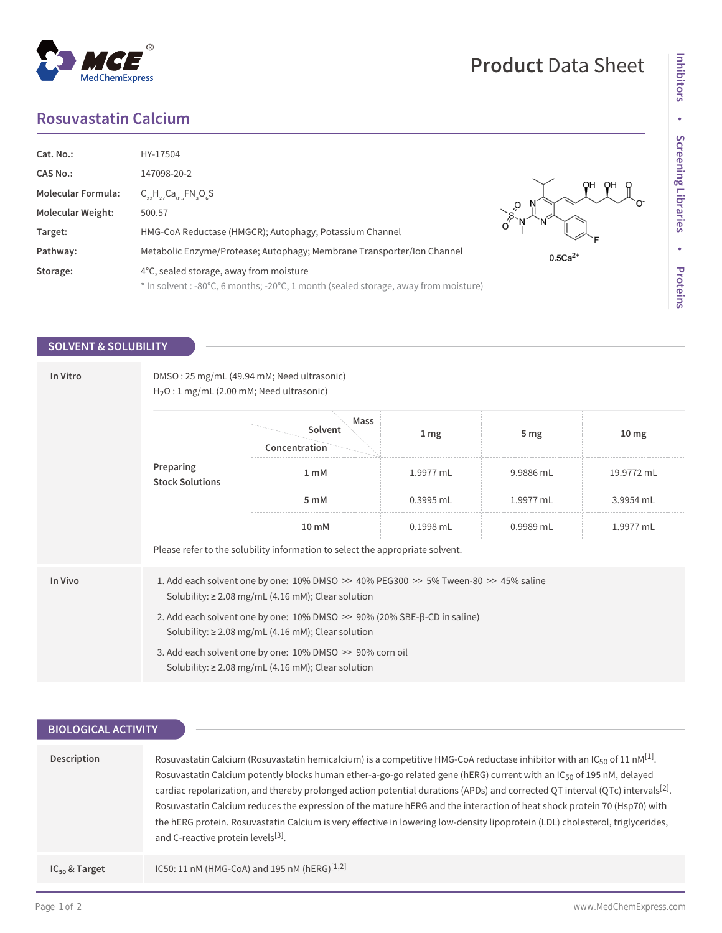# **Rosuvastatin Calcium**

| Cat. No.:                 | HY-17504                                                                            |           |
|---------------------------|-------------------------------------------------------------------------------------|-----------|
| <b>CAS No.:</b>           | 147098-20-2                                                                         |           |
| <b>Molecular Formula:</b> | $C_{22}H_{27}Ca_{015}FN_{19}O_6S$                                                   |           |
| <b>Molecular Weight:</b>  | 500.57                                                                              |           |
| Target:                   | HMG-CoA Reductase (HMGCR); Autophagy; Potassium Channel                             |           |
| Pathway:                  | Metabolic Enzyme/Protease; Autophagy; Membrane Transporter/Ion Channel              | $0.5Ca2+$ |
| Storage:                  | 4°C, sealed storage, away from moisture                                             |           |
|                           | * In solvent : -80°C, 6 months; -20°C, 1 month (sealed storage, away from moisture) |           |

## **SOLVENT & SOLUBILITY**

| In Vitro | DMSO: 25 mg/mL (49.94 mM; Need ultrasonic)<br>$H_2O: 1$ mg/mL (2.00 mM; Need ultrasonic)                                                                   |                                                                                                                     |                 |                 |                  |  |
|----------|------------------------------------------------------------------------------------------------------------------------------------------------------------|---------------------------------------------------------------------------------------------------------------------|-----------------|-----------------|------------------|--|
|          | Preparing<br><b>Stock Solutions</b>                                                                                                                        | Mass<br>Solvent<br>Concentration                                                                                    | 1 <sub>mg</sub> | 5 <sub>mg</sub> | 10 <sub>mg</sub> |  |
|          |                                                                                                                                                            | 1 <sub>m</sub> M                                                                                                    | 1.9977 mL       | 9.9886 mL       | 19.9772 mL       |  |
|          |                                                                                                                                                            | 5 <sub>m</sub> M                                                                                                    | 0.3995 mL       | 1.9977 mL       | 3.9954 mL        |  |
|          |                                                                                                                                                            | 10 mM                                                                                                               | 0.1998 mL       | $0.9989$ mL     | 1.9977 mL        |  |
|          | Please refer to the solubility information to select the appropriate solvent.                                                                              |                                                                                                                     |                 |                 |                  |  |
| In Vivo  | 1. Add each solvent one by one: $10\%$ DMSO >> $40\%$ PEG300 >> $5\%$ Tween-80 >> $45\%$ saline<br>Solubility: $\geq$ 2.08 mg/mL (4.16 mM); Clear solution |                                                                                                                     |                 |                 |                  |  |
|          | 2. Add each solvent one by one: $10\%$ DMSO $\gg$ 90% (20% SBE- $\beta$ -CD in saline)<br>Solubility: $\geq$ 2.08 mg/mL (4.16 mM); Clear solution          |                                                                                                                     |                 |                 |                  |  |
|          |                                                                                                                                                            | 3. Add each solvent one by one: 10% DMSO >> 90% corn oil<br>Solubility: $\geq$ 2.08 mg/mL (4.16 mM); Clear solution |                 |                 |                  |  |

| <b>BIOLOGICAL ACTIVITY</b> |                                                                                                                                                                                                                                                                                                                                                                                                                                                                                                                                                                                                                                                                                                                                                   |  |  |  |
|----------------------------|---------------------------------------------------------------------------------------------------------------------------------------------------------------------------------------------------------------------------------------------------------------------------------------------------------------------------------------------------------------------------------------------------------------------------------------------------------------------------------------------------------------------------------------------------------------------------------------------------------------------------------------------------------------------------------------------------------------------------------------------------|--|--|--|
| Description                | Rosuvastatin Calcium (Rosuvastatin hemicalcium) is a competitive HMG-CoA reductase inhibitor with an IC <sub>50</sub> of 11 nM <sup>[1]</sup> .<br>Rosuvastatin Calcium potently blocks human ether-a-go-go related gene (hERG) current with an IC <sub>50</sub> of 195 nM, delayed<br>cardiac repolarization, and thereby prolonged action potential durations (APDs) and corrected QT interval (QTc) intervals <sup>[2]</sup> .<br>Rosuvastatin Calcium reduces the expression of the mature hERG and the interaction of heat shock protein 70 (Hsp70) with<br>the hERG protein. Rosuvastatin Calcium is very effective in lowering low-density lipoprotein (LDL) cholesterol, triglycerides,<br>and C-reactive protein levels <sup>[3]</sup> . |  |  |  |
| $IC_{50}$ & Target         | IC50: 11 nM (HMG-CoA) and 195 nM (hERG) <sup>[1,2]</sup>                                                                                                                                                                                                                                                                                                                                                                                                                                                                                                                                                                                                                                                                                          |  |  |  |

**Product** Data Sheet